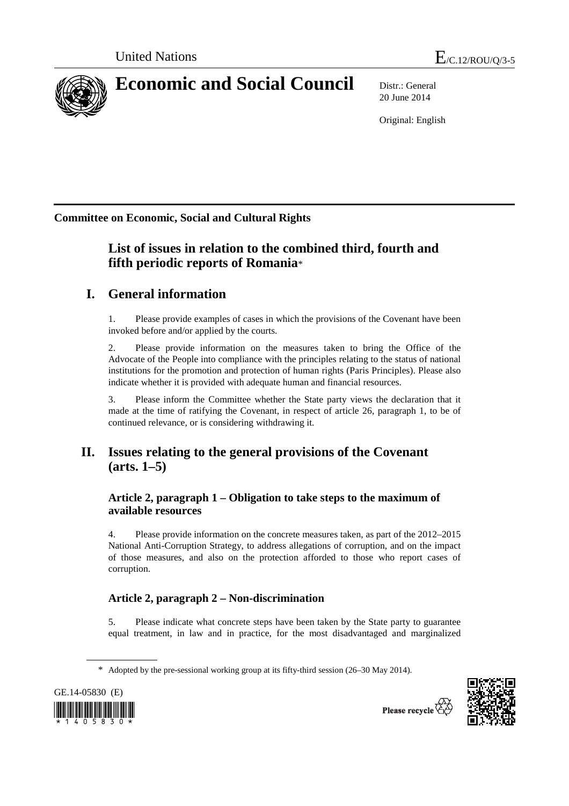

20 June 2014

Original: English

**Committee on Economic, Social and Cultural Rights**

# **List of issues in relation to the combined third, fourth and fifth periodic reports of Romania**\*

# **I. General information**

1. Please provide examples of cases in which the provisions of the Covenant have been invoked before and/or applied by the courts.

2. Please provide information on the measures taken to bring the Office of the Advocate of the People into compliance with the principles relating to the status of national institutions for the promotion and protection of human rights (Paris Principles). Please also indicate whether it is provided with adequate human and financial resources.

3. Please inform the Committee whether the State party views the declaration that it made at the time of ratifying the Covenant, in respect of article 26, paragraph 1, to be of continued relevance, or is considering withdrawing it.

# **II. Issues relating to the general provisions of the Covenant (arts. 1–5)**

## **Article 2, paragraph 1 – Obligation to take steps to the maximum of available resources**

4. Please provide information on the concrete measures taken, as part of the 2012–2015 National Anti-Corruption Strategy, to address allegations of corruption, and on the impact of those measures, and also on the protection afforded to those who report cases of corruption.

## **Article 2, paragraph 2 – Non-discrimination**

5. Please indicate what concrete steps have been taken by the State party to guarantee equal treatment, in law and in practice, for the most disadvantaged and marginalized

<sup>\*</sup> Adopted by the pre-sessional working group at its fifty-third session (26–30 May 2014).



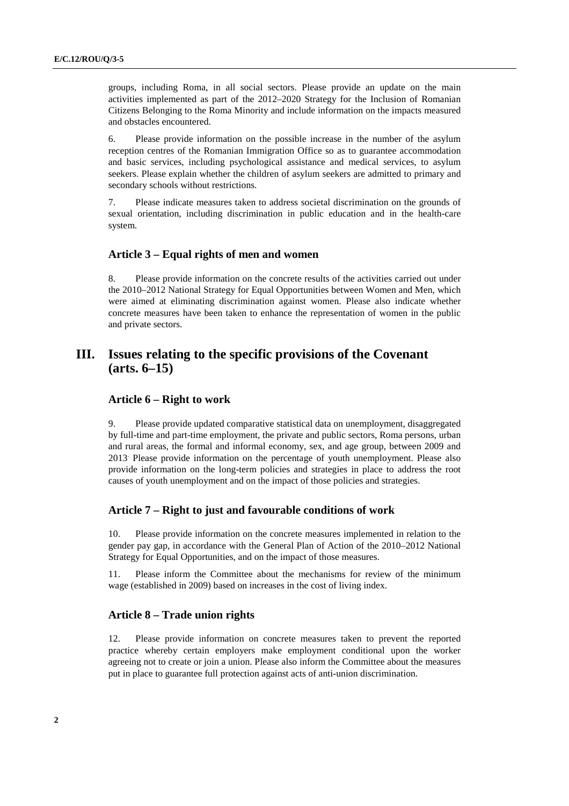groups, including Roma, in all social sectors. Please provide an update on the main activities implemented as part of the 2012–2020 Strategy for the Inclusion of Romanian Citizens Belonging to the Roma Minority and include information on the impacts measured and obstacles encountered.

6. Please provide information on the possible increase in the number of the asylum reception centres of the Romanian Immigration Office so as to guarantee accommodation and basic services, including psychological assistance and medical services, to asylum seekers. Please explain whether the children of asylum seekers are admitted to primary and secondary schools without restrictions.

7. Please indicate measures taken to address societal discrimination on the grounds of sexual orientation, including discrimination in public education and in the health-care system.

#### **Article 3 – Equal rights of men and women**

8. Please provide information on the concrete results of the activities carried out under the 2010–2012 National Strategy for Equal Opportunities between Women and Men, which were aimed at eliminating discrimination against women. Please also indicate whether concrete measures have been taken to enhance the representation of women in the public and private sectors.

## **III. Issues relating to the specific provisions of the Covenant (arts. 6–15)**

#### **Article 6 – Right to work**

9. Please provide updated comparative statistical data on unemployment, disaggregated by full-time and part-time employment, the private and public sectors, Roma persons, urban and rural areas, the formal and informal economy, sex, and age group, between 2009 and 2013. Please provide information on the percentage of youth unemployment. Please also provide information on the long-term policies and strategies in place to address the root causes of youth unemployment and on the impact of those policies and strategies.

#### **Article 7 – Right to just and favourable conditions of work**

10. Please provide information on the concrete measures implemented in relation to the gender pay gap, in accordance with the General Plan of Action of the 2010–2012 National Strategy for Equal Opportunities, and on the impact of those measures.

11. Please inform the Committee about the mechanisms for review of the minimum wage (established in 2009) based on increases in the cost of living index.

#### **Article 8 – Trade union rights**

12. Please provide information on concrete measures taken to prevent the reported practice whereby certain employers make employment conditional upon the worker agreeing not to create or join a union. Please also inform the Committee about the measures put in place to guarantee full protection against acts of anti-union discrimination.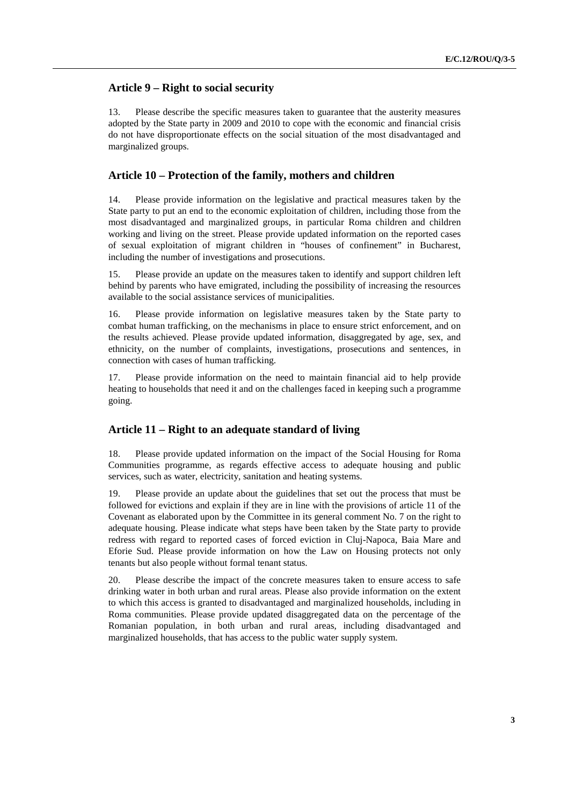## **Article 9 – Right to social security**

13. Please describe the specific measures taken to guarantee that the austerity measures adopted by the State party in 2009 and 2010 to cope with the economic and financial crisis do not have disproportionate effects on the social situation of the most disadvantaged and marginalized groups.

### **Article 10 – Protection of the family, mothers and children**

14. Please provide information on the legislative and practical measures taken by the State party to put an end to the economic exploitation of children, including those from the most disadvantaged and marginalized groups, in particular Roma children and children working and living on the street. Please provide updated information on the reported cases of sexual exploitation of migrant children in "houses of confinement" in Bucharest, including the number of investigations and prosecutions.

15. Please provide an update on the measures taken to identify and support children left behind by parents who have emigrated, including the possibility of increasing the resources available to the social assistance services of municipalities.

16. Please provide information on legislative measures taken by the State party to combat human trafficking, on the mechanisms in place to ensure strict enforcement, and on the results achieved. Please provide updated information, disaggregated by age, sex, and ethnicity, on the number of complaints, investigations, prosecutions and sentences, in connection with cases of human trafficking.

17. Please provide information on the need to maintain financial aid to help provide heating to households that need it and on the challenges faced in keeping such a programme going.

#### **Article 11 – Right to an adequate standard of living**

18. Please provide updated information on the impact of the Social Housing for Roma Communities programme, as regards effective access to adequate housing and public services, such as water, electricity, sanitation and heating systems.

19. Please provide an update about the guidelines that set out the process that must be followed for evictions and explain if they are in line with the provisions of article 11 of the Covenant as elaborated upon by the Committee in its general comment No. 7 on the right to adequate housing. Please indicate what steps have been taken by the State party to provide redress with regard to reported cases of forced eviction in Cluj-Napoca, Baia Mare and Eforie Sud. Please provide information on how the Law on Housing protects not only tenants but also people without formal tenant status.

20. Please describe the impact of the concrete measures taken to ensure access to safe drinking water in both urban and rural areas. Please also provide information on the extent to which this access is granted to disadvantaged and marginalized households, including in Roma communities. Please provide updated disaggregated data on the percentage of the Romanian population, in both urban and rural areas, including disadvantaged and marginalized households, that has access to the public water supply system.